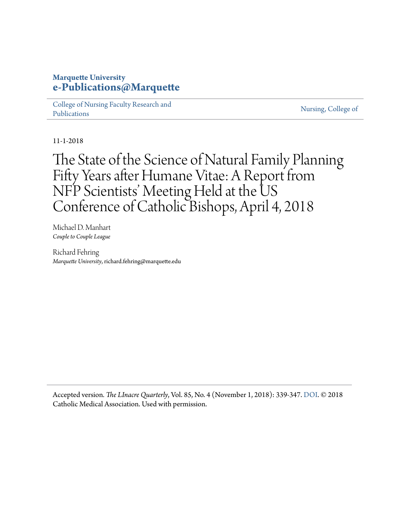#### **Marquette University [e-Publications@Marquette](https://epublications.marquette.edu)**

[College of Nursing Faculty Research and](https://epublications.marquette.edu/nursing_fac) [Publications](https://epublications.marquette.edu/nursing_fac)

[Nursing, College of](https://epublications.marquette.edu/nursing)

11-1-2018

The State of the Science of Natural Family Planning Fifty Years after Humane Vitae: A Report from NFP Scientists' Meeting Held at the US Conference of Catholic Bishops, April 4, 2018

Michael D. Manhart *Couple to Couple League*

Richard Fehring *Marquette University*, richard.fehring@marquette.edu

Accepted version*. The LInacre Quarterly*, Vol. 85, No. 4 (November 1, 2018): 339-347. [DOI.](https://doi.org/10.1177%2F0024363918809699) © 2018 Catholic Medical Association. Used with permission.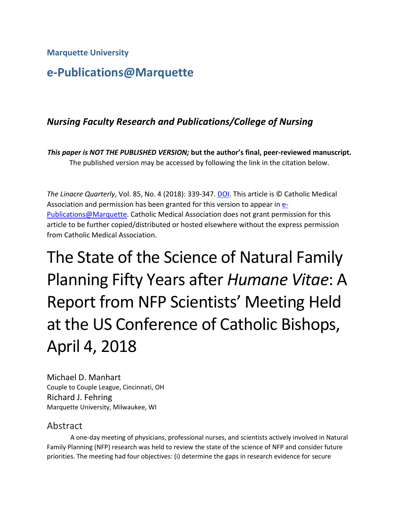# **e-Publications@Marquette**

# *Nursing Faculty Research and Publications/College of Nursing*

*This paper is NOT THE PUBLISHED VERSION;* **but the author's final, peer-reviewed manuscript.**  The published version may be accessed by following the link in the citation below.

 *The Linacre Quarterly*, Vol. 85, No. 4 (2018): 339-347. [DOI.](https://www.doi.org/10.1177/0024363918809698) This article is © Catholic Medical Association and permission has been granted for this version to appear in **e-**[Publications@Marquette.](http://epublications.marquette.edu/) Catholic Medical Association does not grant permission for this article to be further copied/distributed or hosted elsewhere without the express permission from Catholic Medical Association.

The State of the Science of Natural Family Planning Fifty Years after *Humane Vitae*: A Report from NFP Scientists' Meeting Held at the US Conference of Catholic Bishops, April 4, 2018

Michael D. Manhart Couple to Couple League, Cincinnati, OH Richard J. Fehring Marquette University, Milwaukee, WI

### Abstract

 Family Planning (NFP) research was held to review the state of the science of NFP and consider future priorities. The meeting had four objectives: (i) determine the gaps in research evidence for secure A one-day meeting of physicians, professional nurses, and scientists actively involved in Natural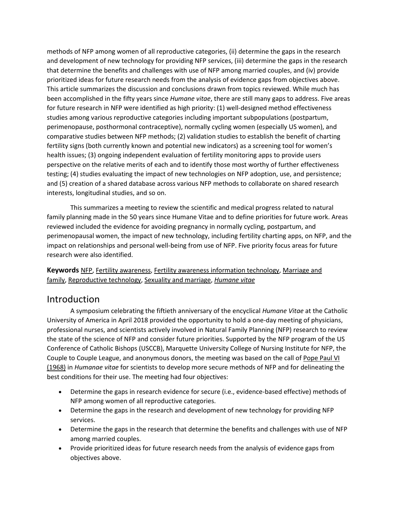methods of NFP among women of all reproductive categories, (ii) determine the gaps in the research that determine the benefits and challenges with use of NFP among married couples, and (iv) provide This article summarizes the discussion and conclusions drawn from topics reviewed. While much has been accomplished in the fifty years since *Humane vitae*, there are still many gaps to address. Five areas and development of new technology for providing NFP services, (iii) determine the gaps in the research prioritized ideas for future research needs from the analysis of evidence gaps from objectives above. for future research in NFP were identified as high priority: (1) well-designed method effectiveness studies among various reproductive categories including important subpopulations (postpartum, perimenopause, posthormonal contraceptive), normally cycling women (especially US women), and comparative studies between NFP methods; (2) validation studies to establish the benefit of charting fertility signs (both currently known and potential new indicators) as a screening tool for women's health issues; (3) ongoing independent evaluation of fertility monitoring apps to provide users perspective on the relative merits of each and to identify those most worthy of further effectiveness testing; (4) studies evaluating the impact of new technologies on NFP adoption, use, and persistence; and (5) creation of a shared database across various NFP methods to collaborate on shared research interests, longitudinal studies, and so on.

 This summarizes a meeting to review the scientific and medical progress related to natural family planning made in the 50 years since Humane Vitae and to define priorities for future work. Areas reviewed included the evidence for avoiding pregnancy in normally cycling, postpartum, and perimenopausal women, the impact of new technology, including fertility charting apps, on NFP, and the impact on relationships and personal well-being from use of NFP. Five priority focus areas for future research were also identified.

**Keywords** [NFP,](https://journals.sagepub.com/keyword/NFP) [Fertility awareness,](https://journals.sagepub.com/keyword/Fertility+Awareness) [Fertility awareness information technology,](https://journals.sagepub.com/keyword/Fertility+Awareness+Information+Technology) [Marriage and](https://journals.sagepub.com/keyword/Marriage+And+Family)  [family,](https://journals.sagepub.com/keyword/Marriage+And+Family) [Reproductive technology,](https://journals.sagepub.com/keyword/Reproductive+Technology) [Sexuality and marriage,](https://journals.sagepub.com/keyword/Sexuality+And+Marriage) *[Humane vitae](https://journals.sagepub.com/keyword/Humane+Vitae)* 

#### Introduction

 A symposium celebrating the fiftieth anniversary of the encyclical *Humane Vitae* at the Catholic professional nurses, and scientists actively involved in Natural Family Planning (NFP) research to review Conference of Catholic Bishops (USCCB), Marquette University College of Nursing Institute for NFP, the Couple to Couple League, and anonymous donors, the meeting was based on the call of Pope Paul VI [\(1968\)](https://journals.sagepub.com/doi/10.1177/0024363918809699) in *Humanae vitae* for scientists to develop more secure methods of NFP and for delineating the University of America in April 2018 provided the opportunity to hold a one-day meeting of physicians, the state of the science of NFP and consider future priorities. Supported by the NFP program of the US best conditions for their use. The meeting had four objectives:

- Determine the gaps in research evidence for secure (i.e., evidence-based effective) methods of NFP among women of all reproductive categories.
- Determine the gaps in the research and development of new technology for providing NFP services.
- • Determine the gaps in the research that determine the benefits and challenges with use of NFP among married couples.
- • Provide prioritized ideas for future research needs from the analysis of evidence gaps from objectives above.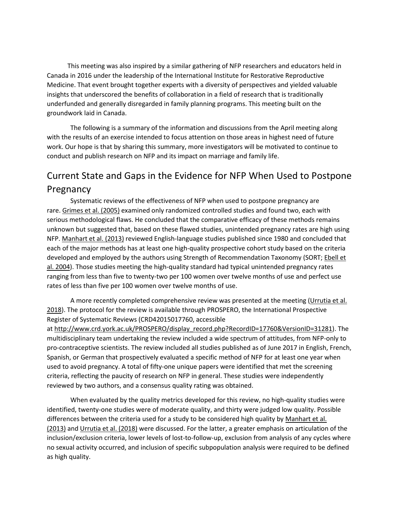insights that underscored the benefits of collaboration in a field of research that is traditionally underfunded and generally disregarded in family planning programs. This meeting built on the This meeting was also inspired by a similar gathering of NFP researchers and educators held in Canada in 2016 under the leadership of the International Institute for Restorative Reproductive Medicine. That event brought together experts with a diversity of perspectives and yielded valuable groundwork laid in Canada.

 work. Our hope is that by sharing this summary, more investigators will be motivated to continue to The following is a summary of the information and discussions from the April meeting along with the results of an exercise intended to focus attention on those areas in highest need of future conduct and publish research on NFP and its impact on marriage and family life.

# Current State and Gaps in the Evidence for NFP When Used to Postpone Pregnancy

 unknown but suggested that, based on these flawed studies, unintended pregnancy rates are high using each of the major methods has at least one high-quality prospective cohort study based on the criteria ranging from less than five to twenty-two per 100 women over twelve months of use and perfect use rates of less than five per 100 women over twelve months of use. Systematic reviews of the effectiveness of NFP when used to postpone pregnancy are rare[. Grimes et al. \(2005\)](https://journals.sagepub.com/doi/10.1177/0024363918809699) examined only randomized controlled studies and found two, each with serious methodological flaws. He concluded that the comparative efficacy of these methods remains NFP. [Manhart et al. \(2013\) r](https://journals.sagepub.com/doi/10.1177/0024363918809699)eviewed English-language studies published since 1980 and concluded that developed and employed by the authors using Strength of Recommendation Taxonomy (SORT; Ebell et [al. 2004\)](https://journals.sagepub.com/doi/10.1177/0024363918809699). Those studies meeting the high-quality standard had typical unintended pregnancy rates

A more recently completed comprehensive review was presented at the meeting (Urrutia et al. [2018\)](https://journals.sagepub.com/doi/10.1177/0024363918809699). The protocol for the review is available through PROSPERO, the International Prospective Register of Systematic Reviews (CRD42015017760, accessible

 Spanish, or German that prospectively evaluated a specific method of NFP for at least one year when criteria, reflecting the paucity of research on NFP in general. These studies were independently at [http://www.crd.york.ac.uk/PROSPERO/display\\_record.php?RecordID=17760&VersionID=31281\)](http://www.crd.york.ac.uk/PROSPERO/display_record.php?RecordID=17760&VersionID=31281). The multidisciplinary team undertaking the review included a wide spectrum of attitudes, from NFP-only to pro-contraceptive scientists. The review included all studies published as of June 2017 in English, French, used to avoid pregnancy. A total of fifty-one unique papers were identified that met the screening reviewed by two authors, and a consensus quality rating was obtained.

 identified, twenty-one studies were of moderate quality, and thirty were judged low quality. Possible differences between the criteria used for a study to be considered high quality by Manhart et al. [\(2013\)](https://journals.sagepub.com/doi/10.1177/0024363918809699) and [Urrutia et al. \(2018\)](https://journals.sagepub.com/doi/10.1177/0024363918809699) were discussed. For the latter, a greater emphasis on articulation of the no sexual activity occurred, and inclusion of specific subpopulation analysis were required to be defined When evaluated by the quality metrics developed for this review, no high-quality studies were inclusion/exclusion criteria, lower levels of lost-to-follow-up, exclusion from analysis of any cycles where as high quality.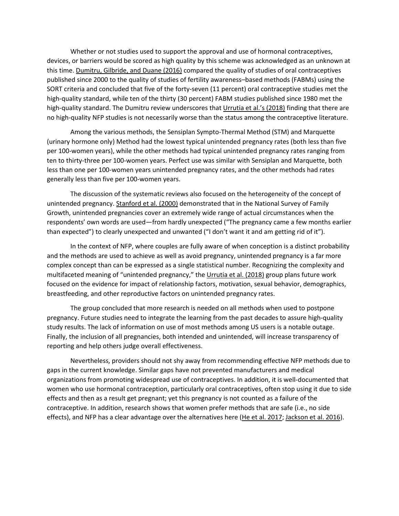this time[. Dumitru, Gilbride, and Duane \(2016\) c](https://journals.sagepub.com/doi/10.1177/0024363918809699)ompared the quality of studies of oral contraceptives published since 2000 to the quality of studies of fertility awareness–based methods (FABMs) using the high-quality standard, while ten of the thirty (30 percent) FABM studies published since 1980 met the high-quality standard. The Dumitru review underscores tha[t Urrutia et al.'s \(2018\)](https://journals.sagepub.com/doi/10.1177/0024363918809699) finding that there are Whether or not studies used to support the approval and use of hormonal contraceptives, devices, or barriers would be scored as high quality by this scheme was acknowledged as an unknown at SORT criteria and concluded that five of the forty-seven (11 percent) oral contraceptive studies met the no high-quality NFP studies is not necessarily worse than the status among the contraceptive literature.

 per 100-women years), while the other methods had typical unintended pregnancy rates ranging from less than one per 100-women years unintended pregnancy rates, and the other methods had rates Among the various methods, the Sensiplan Sympto-Thermal Method (STM) and Marquette (urinary hormone only) Method had the lowest typical unintended pregnancy rates (both less than five ten to thirty-three per 100-women years. Perfect use was similar with Sensiplan and Marquette, both generally less than five per 100-women years.

 Growth, unintended pregnancies cover an extremely wide range of actual circumstances when the than expected") to clearly unexpected and unwanted ("I don't want it and am getting rid of it"). The discussion of the systematic reviews also focused on the heterogeneity of the concept of unintended pregnancy. [Stanford et al. \(2000\)](https://journals.sagepub.com/doi/10.1177/0024363918809699) demonstrated that in the National Survey of Family respondents' own words are used—from hardly unexpected ("The pregnancy came a few months earlier

 and the methods are used to achieve as well as avoid pregnancy, unintended pregnancy is a far more complex concept than can be expressed as a single statistical number. Recognizing the complexity and multifaceted meaning of "unintended pregnancy," the [Urrutia et al. \(2018\)](https://journals.sagepub.com/doi/10.1177/0024363918809699) group plans future work In the context of NFP, where couples are fully aware of when conception is a distinct probability focused on the evidence for impact of relationship factors, motivation, sexual behavior, demographics, breastfeeding, and other reproductive factors on unintended pregnancy rates.

 The group concluded that more research is needed on all methods when used to postpone study results. The lack of information on use of most methods among US users is a notable outage. Finally, the inclusion of all pregnancies, both intended and unintended, will increase transparency of pregnancy. Future studies need to integrate the learning from the past decades to assure high-quality reporting and help others judge overall effectiveness.

 gaps in the current knowledge. Similar gaps have not prevented manufacturers and medical contraceptive. In addition, research shows that women prefer methods that are safe (i.e., no side Nevertheless, providers should not shy away from recommending effective NFP methods due to organizations from promoting widespread use of contraceptives. In addition, it is well-documented that women who use hormonal contraception, particularly oral contraceptives, often stop using it due to side effects and then as a result get pregnant; yet this pregnancy is not counted as a failure of the effects), and NFP has a clear advantage over the alternatives here [\(He et al. 2017; Jackson et al. 2016\)](https://journals.sagepub.com/doi/10.1177/0024363918809699).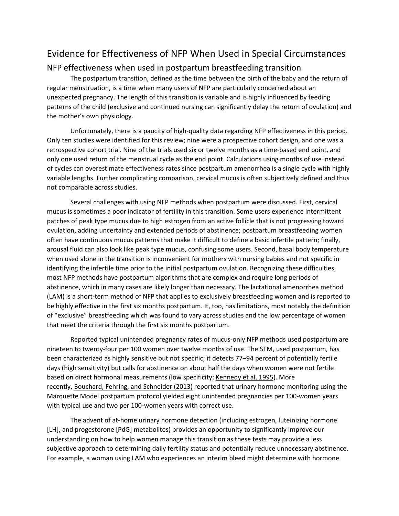### Evidence for Effectiveness of NFP When Used in Special Circumstances

#### NFP effectiveness when used in postpartum breastfeeding transition

 regular menstruation, is a time when many users of NFP are particularly concerned about an unexpected pregnancy. The length of this transition is variable and is highly influenced by feeding The postpartum transition, defined as the time between the birth of the baby and the return of patterns of the child (exclusive and continued nursing can significantly delay the return of ovulation) and the mother's own physiology.

 of cycles can overestimate effectiveness rates since postpartum amenorrhea is a single cycle with highly variable lengths. Further complicating comparison, cervical mucus is often subjectively defined and thus Unfortunately, there is a paucity of high-quality data regarding NFP effectiveness in this period. Only ten studies were identified for this review; nine were a prospective cohort design, and one was a retrospective cohort trial. Nine of the trials used six or twelve months as a time-based end point, and only one used return of the menstrual cycle as the end point. Calculations using months of use instead not comparable across studies.

 patches of peak type mucus due to high estrogen from an active follicle that is not progressing toward often have continuous mucus patterns that make it difficult to define a basic infertile pattern; finally, arousal fluid can also look like peak type mucus, confusing some users. Second, basal body temperature when used alone in the transition is inconvenient for mothers with nursing babies and not specific in abstinence, which in many cases are likely longer than necessary. The lactational amenorrhea method be highly effective in the first six months postpartum. It, too, has limitations, most notably the definition of "exclusive" breastfeeding which was found to vary across studies and the low percentage of women Several challenges with using NFP methods when postpartum were discussed. First, cervical mucus is sometimes a poor indicator of fertility in this transition. Some users experience intermittent ovulation, adding uncertainty and extended periods of abstinence; postpartum breastfeeding women identifying the infertile time prior to the initial postpartum ovulation. Recognizing these difficulties, most NFP methods have postpartum algorithms that are complex and require long periods of (LAM) is a short-term method of NFP that applies to exclusively breastfeeding women and is reported to that meet the criteria through the first six months postpartum.

 Reported typical unintended pregnancy rates of mucus-only NFP methods used postpartum are days (high sensitivity) but calls for abstinence on about half the days when women were not fertile nineteen to twenty-four per 100 women over twelve months of use. The STM, used postpartum, has been characterized as highly sensitive but not specific; it detects 77–94 percent of potentially fertile based on direct hormonal measurements (low specificity; [Kennedy et al. 1995\)](https://journals.sagepub.com/doi/10.1177/0024363918809699). More recently[, Bouchard, Fehring, and Schneider \(2013\)](https://journals.sagepub.com/doi/10.1177/0024363918809699) reported that urinary hormone monitoring using the Marquette Model postpartum protocol yielded eight unintended pregnancies per 100-women years with typical use and two per 100-women years with correct use.

 [LH], and progesterone [PdG] metabolites) provides an opportunity to significantly improve our understanding on how to help women manage this transition as these tests may provide a less The advent of at-home urinary hormone detection (including estrogen, luteinizing hormone subjective approach to determining daily fertility status and potentially reduce unnecessary abstinence. For example, a woman using LAM who experiences an interim bleed might determine with hormone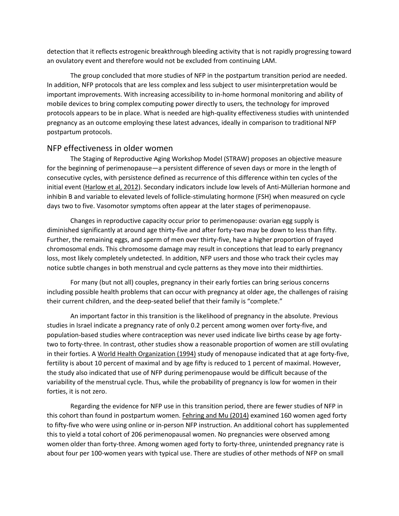detection that it reflects estrogenic breakthrough bleeding activity that is not rapidly progressing toward an ovulatory event and therefore would not be excluded from continuing LAM.

 The group concluded that more studies of NFP in the postpartum transition period are needed. protocols appears to be in place. What is needed are high-quality effectiveness studies with unintended pregnancy as an outcome employing these latest advances, ideally in comparison to traditional NFP In addition, NFP protocols that are less complex and less subject to user misinterpretation would be important improvements. With increasing accessibility to in-home hormonal monitoring and ability of mobile devices to bring complex computing power directly to users, the technology for improved postpartum protocols.

#### NFP effectiveness in older women

 for the beginning of perimenopause—a persistent difference of seven days or more in the length of inhibin B and variable to elevated levels of follicle-stimulating hormone (FSH) when measured on cycle The Staging of Reproductive Aging Workshop Model (STRAW) proposes an objective measure consecutive cycles, with persistence defined as recurrence of this difference within ten cycles of the initial event [\(Harlow et al, 2012\)](https://journals.sagepub.com/doi/10.1177/0024363918809699). Secondary indicators include low levels of Anti-Müllerian hormone and days two to five. Vasomotor symptoms often appear at the later stages of perimenopause.

 Changes in reproductive capacity occur prior to perimenopause: ovarian egg supply is Further, the remaining eggs, and sperm of men over thirty-five, have a higher proportion of frayed loss, most likely completely undetected. In addition, NFP users and those who track their cycles may diminished significantly at around age thirty-five and after forty-two may be down to less than fifty. chromosomal ends. This chromosome damage may result in conceptions that lead to early pregnancy notice subtle changes in both menstrual and cycle patterns as they move into their midthirties.

 For many (but not all) couples, pregnancy in their early forties can bring serious concerns including possible health problems that can occur with pregnancy at older age, the challenges of raising their current children, and the deep-seated belief that their family is "complete."

 studies in Israel indicate a pregnancy rate of only 0.2 percent among women over forty-five, and population-based studies where contraception was never used indicate live births cease by age forty- two to forty-three. In contrast, other studies show a reasonable proportion of women are still ovulating fertility is about 10 percent of maximal and by age fifty is reduced to 1 percent of maximal. However, An important factor in this transition is the likelihood of pregnancy in the absolute. Previous in their forties. [A World Health Organization \(1994\)](https://journals.sagepub.com/doi/10.1177/0024363918809699) study of menopause indicated that at age forty-five, the study also indicated that use of NFP during perimenopause would be difficult because of the variability of the menstrual cycle. Thus, while the probability of pregnancy is low for women in their forties, it is not zero.

 to fifty-five who were using online or in-person NFP instruction. An additional cohort has supplemented about four per 100-women years with typical use. There are studies of other methods of NFP on small Regarding the evidence for NFP use in this transition period, there are fewer studies of NFP in this cohort than found in postpartum women[. Fehring and Mu \(2014\)](https://journals.sagepub.com/doi/10.1177/0024363918809699) examined 160 women aged forty this to yield a total cohort of 206 perimenopausal women. No pregnancies were observed among women older than forty-three. Among women aged forty to forty-three, unintended pregnancy rate is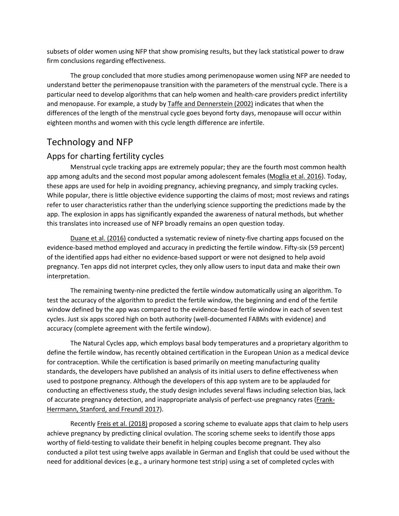subsets of older women using NFP that show promising results, but they lack statistical power to draw firm conclusions regarding effectiveness.

 The group concluded that more studies among perimenopause women using NFP are needed to understand better the perimenopause transition with the parameters of the menstrual cycle. There is a particular need to develop algorithms that can help women and health-care providers predict infertility and menopause. For example, a study by **Taffe and Dennerstein (2002)** indicates that when the eighteen months and women with this cycle length difference are infertile. differences of the length of the menstrual cycle goes beyond forty days, menopause will occur within

### Technology and NFP

#### Apps for charting fertility cycles

app among adults and the second most popular among adolescent females [\(Moglia et al. 2016\)](https://journals.sagepub.com/doi/10.1177/0024363918809699). Today, While popular, there is little objective evidence supporting the claims of most; most reviews and ratings app. The explosion in apps has significantly expanded the awareness of natural methods, but whether Menstrual cycle tracking apps are extremely popular; they are the fourth most common health these apps are used for help in avoiding pregnancy, achieving pregnancy, and simply tracking cycles. refer to user characteristics rather than the underlying science supporting the predictions made by the this translates into increased use of NFP broadly remains an open question today.

[Duane et al. \(2016\)](https://journals.sagepub.com/doi/10.1177/0024363918809699) conducted a systematic review of ninety-five charting apps focused on the evidence-based method employed and accuracy in predicting the fertile window. Fifty-six (59 percent) pregnancy. Ten apps did not interpret cycles, they only allow users to input data and make their own of the identified apps had either no evidence-based support or were not designed to help avoid interpretation.

 The remaining twenty-nine predicted the fertile window automatically using an algorithm. To window defined by the app was compared to the evidence-based fertile window in each of seven test cycles. Just six apps scored high on both authority (well-documented FABMs with evidence) and test the accuracy of the algorithm to predict the fertile window, the beginning and end of the fertile accuracy (complete agreement with the fertile window).

 define the fertile window, has recently obtained certification in the European Union as a medical device for contraception. While the certification is based primarily on meeting manufacturing quality standards, the developers have published an analysis of its initial users to define effectiveness when The Natural Cycles app, which employs basal body temperatures and a proprietary algorithm to used to postpone pregnancy. Although the developers of this app system are to be applauded for conducting an effectiveness study, the study design includes several flaws including selection bias, lack of accurate pregnancy detection, and inappropriate analysis of perfect-use pregnancy rates [\(Frank-](https://journals.sagepub.com/doi/10.1177/0024363918809699)[Herrmann, Stanford, and Freundl 2017\)](https://journals.sagepub.com/doi/10.1177/0024363918809699).

 achieve pregnancy by predicting clinical ovulation. The scoring scheme seeks to identify those apps Recently [Freis et al. \(2018\) p](https://journals.sagepub.com/doi/10.1177/0024363918809699)roposed a scoring scheme to evaluate apps that claim to help users worthy of field-testing to validate their benefit in helping couples become pregnant. They also conducted a pilot test using twelve apps available in German and English that could be used without the need for additional devices (e.g., a urinary hormone test strip) using a set of completed cycles with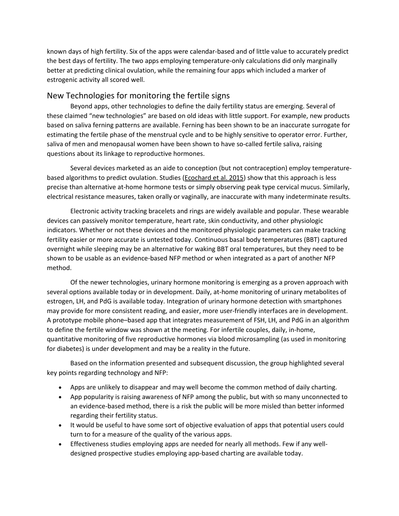known days of high fertility. Six of the apps were calendar-based and of little value to accurately predict the best days of fertility. The two apps employing temperature-only calculations did only marginally better at predicting clinical ovulation, while the remaining four apps which included a marker of estrogenic activity all scored well.

#### New Technologies for monitoring the fertile signs

 these claimed "new technologies" are based on old ideas with little support. For example, new products Beyond apps, other technologies to define the daily fertility status are emerging. Several of based on saliva ferning patterns are available. Ferning has been shown to be an inaccurate surrogate for estimating the fertile phase of the menstrual cycle and to be highly sensitive to operator error. Further, saliva of men and menopausal women have been shown to have so-called fertile saliva, raising questions about its linkage to reproductive hormones.

 precise than alternative at-home hormone tests or simply observing peak type cervical mucus. Similarly, Several devices marketed as an aide to conception (but not contraception) employ temperaturebased algorithms to predict ovulation. Studies [\(Ecochard et al. 2015\)](https://journals.sagepub.com/doi/10.1177/0024363918809699) show that this approach is less electrical resistance measures, taken orally or vaginally, are inaccurate with many indeterminate results.

 Electronic activity tracking bracelets and rings are widely available and popular. These wearable devices can passively monitor temperature, heart rate, skin conductivity, and other physiologic fertility easier or more accurate is untested today. Continuous basal body temperatures (BBT) captured shown to be usable as an evidence-based NFP method or when integrated as a part of another NFP indicators. Whether or not these devices and the monitored physiologic parameters can make tracking overnight while sleeping may be an alternative for waking BBT oral temperatures, but they need to be method.

 several options available today or in development. Daily, at-home monitoring of urinary metabolites of A prototype mobile phone–based app that integrates measurement of FSH, LH, and PdG in an algorithm quantitative monitoring of five reproductive hormones via blood microsampling (as used in monitoring Of the newer technologies, urinary hormone monitoring is emerging as a proven approach with estrogen, LH, and PdG is available today. Integration of urinary hormone detection with smartphones may provide for more consistent reading, and easier, more user-friendly interfaces are in development. to define the fertile window was shown at the meeting. For infertile couples, daily, in-home, for diabetes) is under development and may be a reality in the future.

Based on the information presented and subsequent discussion, the group highlighted several key points regarding technology and NFP:

- Apps are unlikely to disappear and may well become the common method of daily charting.
- • App popularity is raising awareness of NFP among the public, but with so many unconnected to an evidence-based method, there is a risk the public will be more misled than better informed regarding their fertility status.
- • It would be useful to have some sort of objective evaluation of apps that potential users could turn to for a measure of the quality of the various apps.
- Effectiveness studies employing apps are needed for nearly all methods. Few if any welldesigned prospective studies employing app-based charting are available today.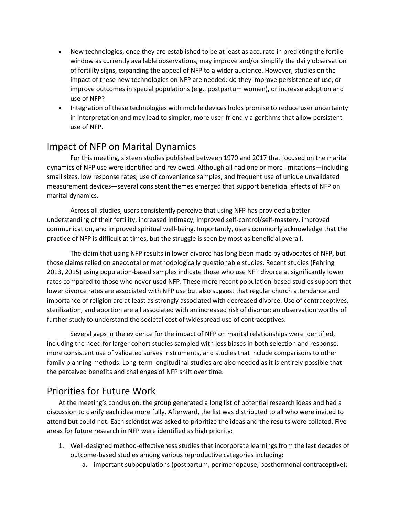- window as currently available observations, may improve and/or simplify the daily observation of fertility signs, expanding the appeal of NFP to a wider audience. However, studies on the impact of these new technologies on NFP are needed: do they improve persistence of use, or improve outcomes in special populations (e.g., postpartum women), or increase adoption and • New technologies, once they are established to be at least as accurate in predicting the fertile use of NFP?
- • Integration of these technologies with mobile devices holds promise to reduce user uncertainty in interpretation and may lead to simpler, more user-friendly algorithms that allow persistent use of NFP.

### Impact of NFP on Marital Dynamics

 small sizes, low response rates, use of convenience samples, and frequent use of unique unvalidated measurement devices—several consistent themes emerged that support beneficial effects of NFP on For this meeting, sixteen studies published between 1970 and 2017 that focused on the marital dynamics of NFP use were identified and reviewed. Although all had one or more limitations—including marital dynamics.

Across all studies, users consistently perceive that using NFP has provided a better understanding of their fertility, increased intimacy, improved self-control/self-mastery, improved communication, and improved spiritual well-being. Importantly, users commonly acknowledge that the practice of NFP is difficult at times, but the struggle is seen by most as beneficial overall.

 those claims relied on anecdotal or methodologically questionable studies. Recent studies (Fehring rates compared to those who never used NFP. These more recent population-based studies support that sterilization, and abortion are all associated with an increased risk of divorce; an observation worthy of The claim that using NFP results in lower divorce has long been made by advocates of NFP, but 2013, 2015) using population-based samples indicate those who use NFP divorce at significantly lower lower divorce rates are associated with NFP use but also suggest that regular church attendance and importance of religion are at least as strongly associated with decreased divorce. Use of contraceptives, further study to understand the societal cost of widespread use of contraceptives.

 Several gaps in the evidence for the impact of NFP on marital relationships were identified, more consistent use of validated survey instruments, and studies that include comparisons to other family planning methods. Long-term longitudinal studies are also needed as it is entirely possible that the perceived benefits and challenges of NFP shift over time. including the need for larger cohort studies sampled with less biases in both selection and response,

### Priorities for Future Work

 At the meeting's conclusion, the group generated a long list of potential research ideas and had a discussion to clarify each idea more fully. Afterward, the list was distributed to all who were invited to attend but could not. Each scientist was asked to prioritize the ideas and the results were collated. Five areas for future research in NFP were identified as high priority:

- 1. Well-designed method-effectiveness studies that incorporate learnings from the last decades of outcome-based studies among various reproductive categories including:
	- a. important subpopulations (postpartum, perimenopause, posthormonal contraceptive);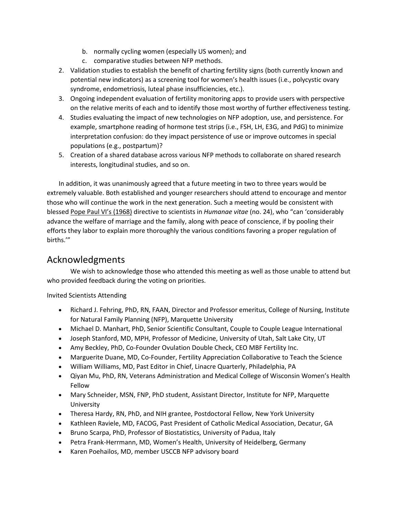- b. normally cycling women (especially US women); and
- c. comparative studies between NFP methods.
- 2. Validation studies to establish the benefit of charting fertility signs (both currently known and potential new indicators) as a screening tool for women's health issues (i.e., polycystic ovary syndrome, endometriosis, luteal phase insufficiencies, etc.).
- 3. Ongoing independent evaluation of fertility monitoring apps to provide users with perspective on the relative merits of each and to identify those most worthy of further effectiveness testing.
- 4. Studies evaluating the impact of new technologies on NFP adoption, use, and persistence. For example, smartphone reading of hormone test strips (i.e., FSH, LH, E3G, and PdG) to minimize interpretation confusion: do they impact persistence of use or improve outcomes in special populations (e.g., postpartum)?
- 5. Creation of a shared database across various NFP methods to collaborate on shared research interests, longitudinal studies, and so on.

 advance the welfare of marriage and the family, along with peace of conscience, if by pooling their In addition, it was unanimously agreed that a future meeting in two to three years would be extremely valuable. Both established and younger researchers should attend to encourage and mentor those who will continue the work in the next generation. Such a meeting would be consistent with blessed [Pope Paul VI's \(1968\)](https://journals.sagepub.com/doi/10.1177/0024363918809699) directive to scientists in *Humanae vitae* (no. 24), who "can 'considerably efforts they labor to explain more thoroughly the various conditions favoring a proper regulation of births.'"

#### Acknowledgments

 We wish to acknowledge those who attended this meeting as well as those unable to attend but who provided feedback during the voting on priorities.

Invited Scientists Attending

- for Natural Family Planning (NFP), Marquette University • Richard J. Fehring, PhD, RN, FAAN, Director and Professor emeritus, College of Nursing, Institute
- Michael D. Manhart, PhD, Senior Scientific Consultant, Couple to Couple League International
- Joseph Stanford, MD, MPH, Professor of Medicine, University of Utah, Salt Lake City, UT
- Amy Beckley, PhD, Co-Founder Ovulation Double Check, CEO MBF Fertility Inc.
- Marguerite Duane, MD, Co-Founder, Fertility Appreciation Collaborative to Teach the Science
- William Williams, MD, Past Editor in Chief, Linacre Quarterly, Philadelphia, PA
- • Qiyan Mu, PhD, RN, Veterans Administration and Medical College of Wisconsin Women's Health Fellow
- Mary Schneider, MSN, FNP, PhD student, Assistant Director, Institute for NFP, Marquette University
- Theresa Hardy, RN, PhD, and NIH grantee, Postdoctoral Fellow, New York University
- Kathleen Raviele, MD, FACOG, Past President of Catholic Medical Association, Decatur, GA
- Bruno Scarpa, PhD, Professor of Biostatistics, University of Padua, Italy
- Petra Frank-Herrmann, MD, Women's Health, University of Heidelberg, Germany
- Karen Poehailos, MD, member USCCB NFP advisory board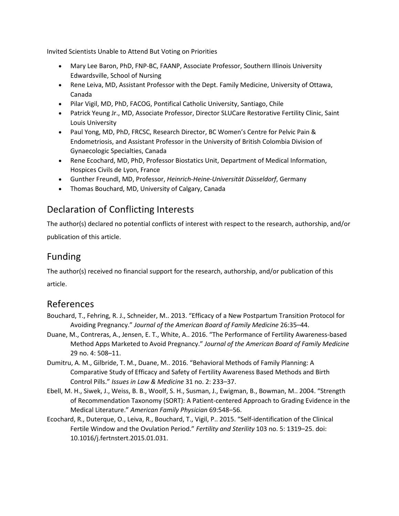Invited Scientists Unable to Attend But Voting on Priorities

- Mary Lee Baron, PhD, FNP-BC, FAANP, Associate Professor, Southern Illinois University Edwardsville, School of Nursing
- • Rene Leiva, MD, Assistant Professor with the Dept. Family Medicine, University of Ottawa, Canada
- Pilar Vigil, MD, PhD, FACOG, Pontifical Catholic University, Santiago, Chile
- • Patrick Yeung Jr., MD, Associate Professor, Director SLUCare Restorative Fertility Clinic, Saint Louis University
- • Paul Yong, MD, PhD, FRCSC, Research Director, BC Women's Centre for Pelvic Pain & Endometriosis, and Assistant Professor in the University of British Colombia Division of Gynaecologic Specialties, Canada
- Rene Ecochard, MD, PhD, Professor Biostatics Unit, Department of Medical Information, Hospices Civils de Lyon, France
- Gunther Freundl, MD, Professor, *Heinrich-Heine-Universität Düsseldorf*, Germany
- Thomas Bouchard, MD, University of Calgary, Canada

## Declaration of Conflicting Interests

 The author(s) declared no potential conflicts of interest with respect to the research, authorship, and/or publication of this article.

### Funding

The author(s) received no financial support for the research, authorship, and/or publication of this article.

### References

- Bouchard, T., Fehring, R. J., Schneider, M.. 2013. "Efficacy of a New Postpartum Transition Protocol for Avoiding Pregnancy." *Journal of the American Board of Family Medicine* 26:35–44.
- Duane, M., Contreras, A., Jensen, E. T., White, A.. 2016. "The Performance of Fertility Awareness-based Method Apps Marketed to Avoid Pregnancy." *Journal of the American Board of Family Medicine*  29 no. 4: 508–11.
- Dumitru, A. M., Gilbride, T. M., Duane, M.. 2016. "Behavioral Methods of Family Planning: A Comparative Study of Efficacy and Safety of Fertility Awareness Based Methods and Birth Control Pills." *Issues in Law & Medicine* 31 no. 2: 233–37.
- Ebell, M. H., Siwek, J., Weiss, B. B., Woolf, S. H., Susman, J., Ewigman, B., Bowman, M.. 2004. "Strength of Recommendation Taxonomy (SORT): A Patient-centered Approach to Grading Evidence in the Medical Literature." *American Family Physician* 69:548–56.
- Ecochard, R., Duterque, O., Leiva, R., Bouchard, T., Vigil, P.. 2015. "Self-identification of the Clinical Fertile Window and the Ovulation Period." *Fertility and Sterility* 103 no. 5: 1319–25. doi: 10.1016/j.fertnstert.2015.01.031.